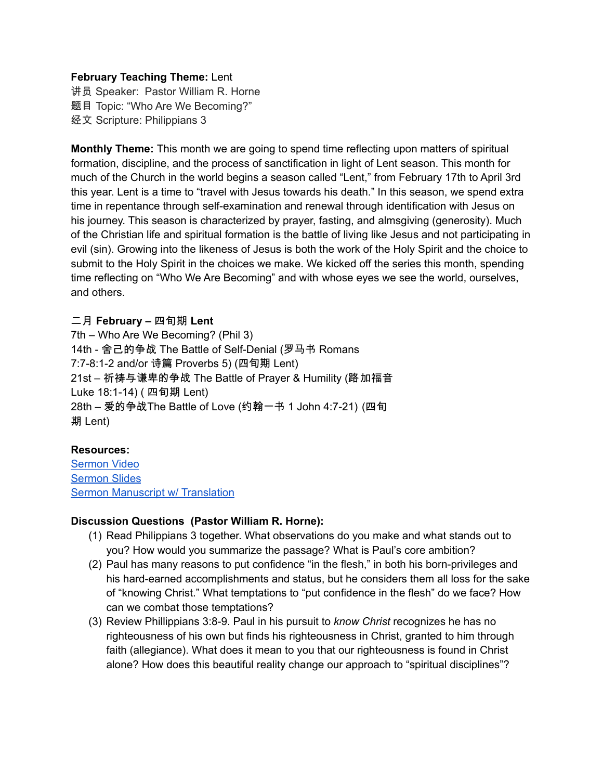### **February Teaching Theme:** Lent

讲员 Speaker: Pastor William R. Horne 题目 Topic: "Who Are We Becoming?" 经文 Scripture: Philippians 3

**Monthly Theme:** This month we are going to spend time reflecting upon matters of spiritual formation, discipline, and the process of sanctification in light of Lent season. This month for much of the Church in the world begins a season called "Lent," from February 17th to April 3rd this year. Lent is a time to "travel with Jesus towards his death." In this season, we spend extra time in repentance through self-examination and renewal through identification with Jesus on his journey. This season is characterized by prayer, fasting, and almsgiving (generosity). Much of the Christian life and spiritual formation is the battle of living like Jesus and not participating in evil (sin). Growing into the likeness of Jesus is both the work of the Holy Spirit and the choice to submit to the Holy Spirit in the choices we make. We kicked off the series this month, spending time reflecting on "Who We Are Becoming" and with whose eyes we see the world, ourselves, and others.

### 二月 **February –** 四旬期 **Lent**

7th – Who Are We Becoming? (Phil 3) 14th - 舍己的争战 The Battle of Self-Denial (罗马书 Romans 7:7-8:1-2 and/or 诗篇 Proverbs 5) (四旬期 Lent) 21st – 祈祷与谦卑的争战 The Battle of Prayer & Humility (路加福音 Luke 18:1-14) ( 四旬期 Lent) 28th – 爱的争战The Battle of Love (约翰一书 1 John 4:7-21) (四旬 期 Lent)

# **Resources:**

[Sermon](https://www.youtube.com/watch?v=aCan5cS_9cU&t=273s) Video [Sermon](https://drive.google.com/file/d/1duT273dK48Sd_GFvsrlYwmKeaRDsL6Yl/view?usp=sharing) Slides Sermon Manuscript w/ [Translation](https://drive.google.com/file/d/17GY2k2Hgna1m55vLgTTpECDc5Q9qqYoW/view?usp=sharing)

# **Discussion Questions (Pastor William R. Horne):**

- (1) Read Philippians 3 together. What observations do you make and what stands out to you? How would you summarize the passage? What is Paul's core ambition?
- (2) Paul has many reasons to put confidence "in the flesh," in both his born-privileges and his hard-earned accomplishments and status, but he considers them all loss for the sake of "knowing Christ." What temptations to "put confidence in the flesh" do we face? How can we combat those temptations?
- (3) Review Phillippians 3:8-9. Paul in his pursuit to *know Christ* recognizes he has no righteousness of his own but finds his righteousness in Christ, granted to him through faith (allegiance). What does it mean to you that our righteousness is found in Christ alone? How does this beautiful reality change our approach to "spiritual disciplines"?